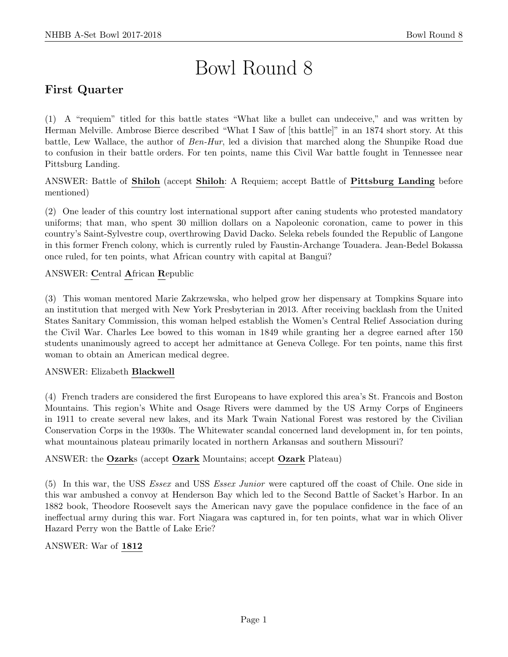# Bowl Round 8

# First Quarter

(1) A "requiem" titled for this battle states "What like a bullet can undeceive," and was written by Herman Melville. Ambrose Bierce described "What I Saw of [this battle]" in an 1874 short story. At this battle, Lew Wallace, the author of Ben-Hur, led a division that marched along the Shunpike Road due to confusion in their battle orders. For ten points, name this Civil War battle fought in Tennessee near Pittsburg Landing.

ANSWER: Battle of Shiloh (accept Shiloh: A Requiem; accept Battle of Pittsburg Landing before mentioned)

(2) One leader of this country lost international support after caning students who protested mandatory uniforms; that man, who spent 30 million dollars on a Napoleonic coronation, came to power in this country's Saint-Sylvestre coup, overthrowing David Dacko. Seleka rebels founded the Republic of Langone in this former French colony, which is currently ruled by Faustin-Archange Touadera. Jean-Bedel Bokassa once ruled, for ten points, what African country with capital at Bangui?

ANSWER: Central African Republic

(3) This woman mentored Marie Zakrzewska, who helped grow her dispensary at Tompkins Square into an institution that merged with New York Presbyterian in 2013. After receiving backlash from the United States Sanitary Commission, this woman helped establish the Women's Central Relief Association during the Civil War. Charles Lee bowed to this woman in 1849 while granting her a degree earned after 150 students unanimously agreed to accept her admittance at Geneva College. For ten points, name this first woman to obtain an American medical degree.

#### ANSWER: Elizabeth Blackwell

(4) French traders are considered the first Europeans to have explored this area's St. Francois and Boston Mountains. This region's White and Osage Rivers were dammed by the US Army Corps of Engineers in 1911 to create several new lakes, and its Mark Twain National Forest was restored by the Civilian Conservation Corps in the 1930s. The Whitewater scandal concerned land development in, for ten points, what mountainous plateau primarily located in northern Arkansas and southern Missouri?

ANSWER: the Ozarks (accept Ozark Mountains; accept Ozark Plateau)

(5) In this war, the USS Essex and USS Essex Junior were captured off the coast of Chile. One side in this war ambushed a convoy at Henderson Bay which led to the Second Battle of Sacket's Harbor. In an 1882 book, Theodore Roosevelt says the American navy gave the populace confidence in the face of an ineffectual army during this war. Fort Niagara was captured in, for ten points, what war in which Oliver Hazard Perry won the Battle of Lake Erie?

ANSWER: War of 1812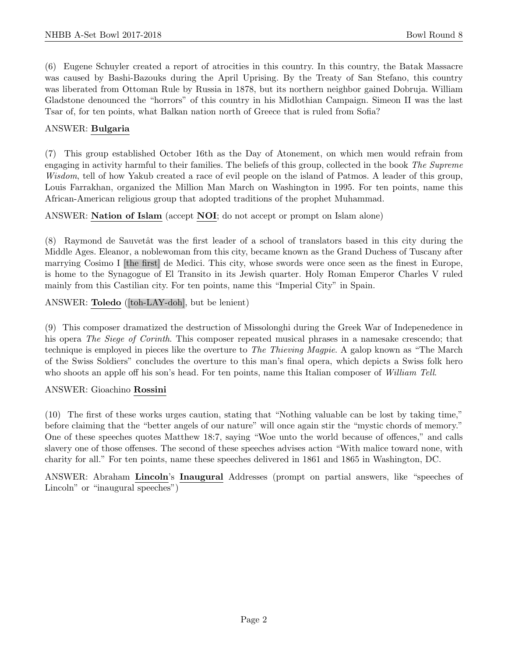(6) Eugene Schuyler created a report of atrocities in this country. In this country, the Batak Massacre was caused by Bashi-Bazouks during the April Uprising. By the Treaty of San Stefano, this country was liberated from Ottoman Rule by Russia in 1878, but its northern neighbor gained Dobruja. William Gladstone denounced the "horrors" of this country in his Midlothian Campaign. Simeon II was the last Tsar of, for ten points, what Balkan nation north of Greece that is ruled from Sofia?

#### ANSWER: Bulgaria

(7) This group established October 16th as the Day of Atonement, on which men would refrain from engaging in activity harmful to their families. The beliefs of this group, collected in the book The Supreme Wisdom, tell of how Yakub created a race of evil people on the island of Patmos. A leader of this group, Louis Farrakhan, organized the Million Man March on Washington in 1995. For ten points, name this African-American religious group that adopted traditions of the prophet Muhammad.

ANSWER: Nation of Islam (accept NOI; do not accept or prompt on Islam alone)

 $(8)$  Raymond de Sauvetât was the first leader of a school of translators based in this city during the Middle Ages. Eleanor, a noblewoman from this city, became known as the Grand Duchess of Tuscany after marrying Cosimo I [the first] de Medici. This city, whose swords were once seen as the finest in Europe, is home to the Synagogue of El Transito in its Jewish quarter. Holy Roman Emperor Charles V ruled mainly from this Castilian city. For ten points, name this "Imperial City" in Spain.

ANSWER: Toledo ([toh-LAY-doh], but be lenient)

(9) This composer dramatized the destruction of Missolonghi during the Greek War of Indepenedence in his opera *The Siege of Corinth*. This composer repeated musical phrases in a namesake crescendo; that technique is employed in pieces like the overture to The Thieving Magpie. A galop known as "The March of the Swiss Soldiers" concludes the overture to this man's final opera, which depicts a Swiss folk hero who shoots an apple off his son's head. For ten points, name this Italian composer of William Tell.

#### ANSWER: Gioachino Rossini

(10) The first of these works urges caution, stating that "Nothing valuable can be lost by taking time," before claiming that the "better angels of our nature" will once again stir the "mystic chords of memory." One of these speeches quotes Matthew 18:7, saying "Woe unto the world because of offences," and calls slavery one of those offenses. The second of these speeches advises action "With malice toward none, with charity for all." For ten points, name these speeches delivered in 1861 and 1865 in Washington, DC.

ANSWER: Abraham Lincoln's Inaugural Addresses (prompt on partial answers, like "speeches of Lincoln" or "inaugural speeches")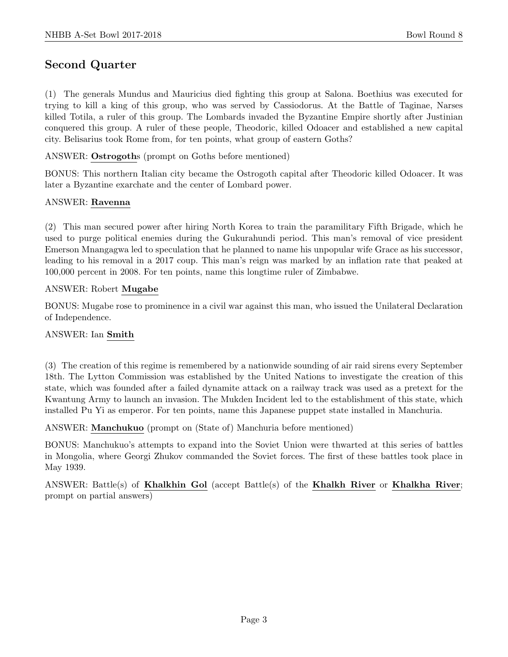## Second Quarter

(1) The generals Mundus and Mauricius died fighting this group at Salona. Boethius was executed for trying to kill a king of this group, who was served by Cassiodorus. At the Battle of Taginae, Narses killed Totila, a ruler of this group. The Lombards invaded the Byzantine Empire shortly after Justinian conquered this group. A ruler of these people, Theodoric, killed Odoacer and established a new capital city. Belisarius took Rome from, for ten points, what group of eastern Goths?

ANSWER: Ostrogoths (prompt on Goths before mentioned)

BONUS: This northern Italian city became the Ostrogoth capital after Theodoric killed Odoacer. It was later a Byzantine exarchate and the center of Lombard power.

#### ANSWER: Ravenna

(2) This man secured power after hiring North Korea to train the paramilitary Fifth Brigade, which he used to purge political enemies during the Gukurahundi period. This man's removal of vice president Emerson Mnangagwa led to speculation that he planned to name his unpopular wife Grace as his successor, leading to his removal in a 2017 coup. This man's reign was marked by an inflation rate that peaked at 100,000 percent in 2008. For ten points, name this longtime ruler of Zimbabwe.

#### ANSWER: Robert Mugabe

BONUS: Mugabe rose to prominence in a civil war against this man, who issued the Unilateral Declaration of Independence.

#### ANSWER: Ian Smith

(3) The creation of this regime is remembered by a nationwide sounding of air raid sirens every September 18th. The Lytton Commission was established by the United Nations to investigate the creation of this state, which was founded after a failed dynamite attack on a railway track was used as a pretext for the Kwantung Army to launch an invasion. The Mukden Incident led to the establishment of this state, which installed Pu Yi as emperor. For ten points, name this Japanese puppet state installed in Manchuria.

ANSWER: Manchukuo (prompt on (State of) Manchuria before mentioned)

BONUS: Manchukuo's attempts to expand into the Soviet Union were thwarted at this series of battles in Mongolia, where Georgi Zhukov commanded the Soviet forces. The first of these battles took place in May 1939.

ANSWER: Battle(s) of Khalkhin Gol (accept Battle(s) of the Khalkh River or Khalkha River; prompt on partial answers)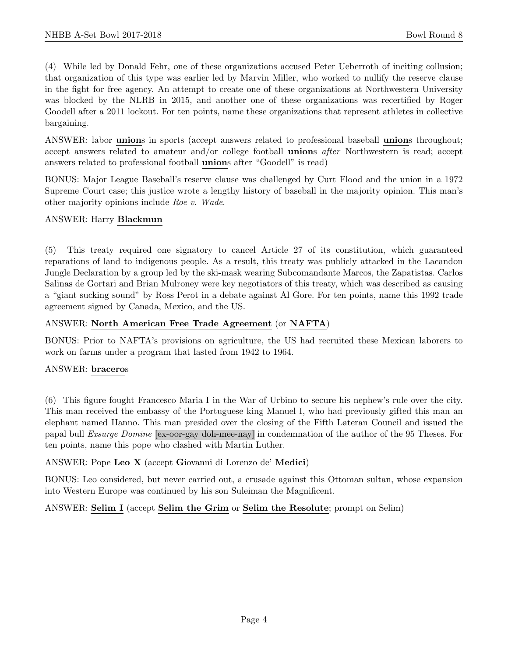(4) While led by Donald Fehr, one of these organizations accused Peter Ueberroth of inciting collusion; that organization of this type was earlier led by Marvin Miller, who worked to nullify the reserve clause in the fight for free agency. An attempt to create one of these organizations at Northwestern University was blocked by the NLRB in 2015, and another one of these organizations was recertified by Roger Goodell after a 2011 lockout. For ten points, name these organizations that represent athletes in collective bargaining.

ANSWER: labor unions in sports (accept answers related to professional baseball unions throughout; accept answers related to amateur and/or college football unions after Northwestern is read; accept answers related to professional football unions after "Goodell" is read)

BONUS: Major League Baseball's reserve clause was challenged by Curt Flood and the union in a 1972 Supreme Court case; this justice wrote a lengthy history of baseball in the majority opinion. This man's other majority opinions include Roe v. Wade.

#### ANSWER: Harry Blackmun

(5) This treaty required one signatory to cancel Article 27 of its constitution, which guaranteed reparations of land to indigenous people. As a result, this treaty was publicly attacked in the Lacandon Jungle Declaration by a group led by the ski-mask wearing Subcomandante Marcos, the Zapatistas. Carlos Salinas de Gortari and Brian Mulroney were key negotiators of this treaty, which was described as causing a "giant sucking sound" by Ross Perot in a debate against Al Gore. For ten points, name this 1992 trade agreement signed by Canada, Mexico, and the US.

#### ANSWER: North American Free Trade Agreement (or NAFTA)

BONUS: Prior to NAFTA's provisions on agriculture, the US had recruited these Mexican laborers to work on farms under a program that lasted from 1942 to 1964.

#### ANSWER: braceros

(6) This figure fought Francesco Maria I in the War of Urbino to secure his nephew's rule over the city. This man received the embassy of the Portuguese king Manuel I, who had previously gifted this man an elephant named Hanno. This man presided over the closing of the Fifth Lateran Council and issued the papal bull Exsurge Domine [ex-oor-gay doh-mee-nay] in condemnation of the author of the 95 Theses. For ten points, name this pope who clashed with Martin Luther.

#### ANSWER: Pope Leo X (accept Giovanni di Lorenzo de' Medici)

BONUS: Leo considered, but never carried out, a crusade against this Ottoman sultan, whose expansion into Western Europe was continued by his son Suleiman the Magnificent.

#### ANSWER: Selim I (accept Selim the Grim or Selim the Resolute; prompt on Selim)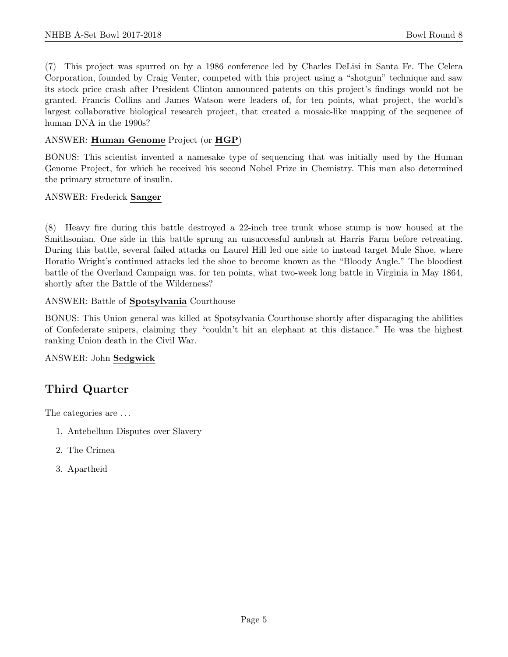(7) This project was spurred on by a 1986 conference led by Charles DeLisi in Santa Fe. The Celera Corporation, founded by Craig Venter, competed with this project using a "shotgun" technique and saw its stock price crash after President Clinton announced patents on this project's findings would not be granted. Francis Collins and James Watson were leaders of, for ten points, what project, the world's largest collaborative biological research project, that created a mosaic-like mapping of the sequence of human DNA in the 1990s?

#### ANSWER: Human Genome Project (or HGP)

BONUS: This scientist invented a namesake type of sequencing that was initially used by the Human Genome Project, for which he received his second Nobel Prize in Chemistry. This man also determined the primary structure of insulin.

#### ANSWER: Frederick Sanger

(8) Heavy fire during this battle destroyed a 22-inch tree trunk whose stump is now housed at the Smithsonian. One side in this battle sprung an unsuccessful ambush at Harris Farm before retreating. During this battle, several failed attacks on Laurel Hill led one side to instead target Mule Shoe, where Horatio Wright's continued attacks led the shoe to become known as the "Bloody Angle." The bloodiest battle of the Overland Campaign was, for ten points, what two-week long battle in Virginia in May 1864, shortly after the Battle of the Wilderness?

#### ANSWER: Battle of Spotsylvania Courthouse

BONUS: This Union general was killed at Spotsylvania Courthouse shortly after disparaging the abilities of Confederate snipers, claiming they "couldn't hit an elephant at this distance." He was the highest ranking Union death in the Civil War.

#### ANSWER: John Sedgwick

# Third Quarter

The categories are  $\dots$ 

- 1. Antebellum Disputes over Slavery
- 2. The Crimea
- 3. Apartheid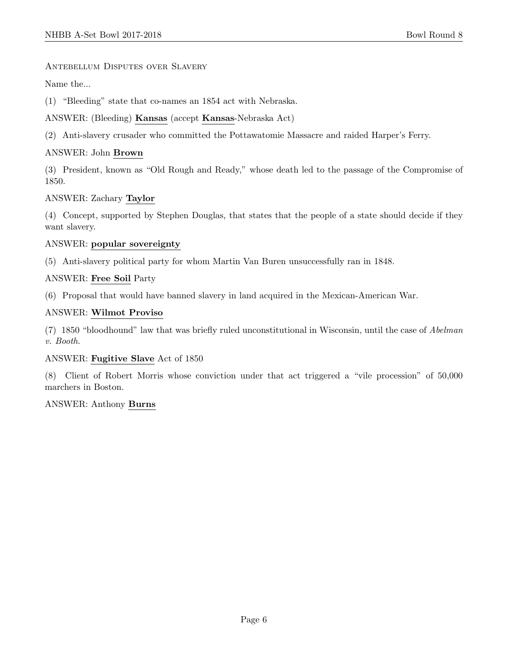#### Antebellum Disputes over Slavery

Name the...

- (1) "Bleeding" state that co-names an 1854 act with Nebraska.
- ANSWER: (Bleeding) Kansas (accept Kansas-Nebraska Act)
- (2) Anti-slavery crusader who committed the Pottawatomie Massacre and raided Harper's Ferry.

#### ANSWER: John Brown

(3) President, known as "Old Rough and Ready," whose death led to the passage of the Compromise of 1850.

#### ANSWER: Zachary Taylor

(4) Concept, supported by Stephen Douglas, that states that the people of a state should decide if they want slavery.

#### ANSWER: popular sovereignty

(5) Anti-slavery political party for whom Martin Van Buren unsuccessfully ran in 1848.

#### ANSWER: Free Soil Party

(6) Proposal that would have banned slavery in land acquired in the Mexican-American War.

#### ANSWER: Wilmot Proviso

(7) 1850 "bloodhound" law that was briefly ruled unconstitutional in Wisconsin, until the case of Abelman v. Booth.

#### ANSWER: Fugitive Slave Act of 1850

(8) Client of Robert Morris whose conviction under that act triggered a "vile procession" of 50,000 marchers in Boston.

#### ANSWER: Anthony Burns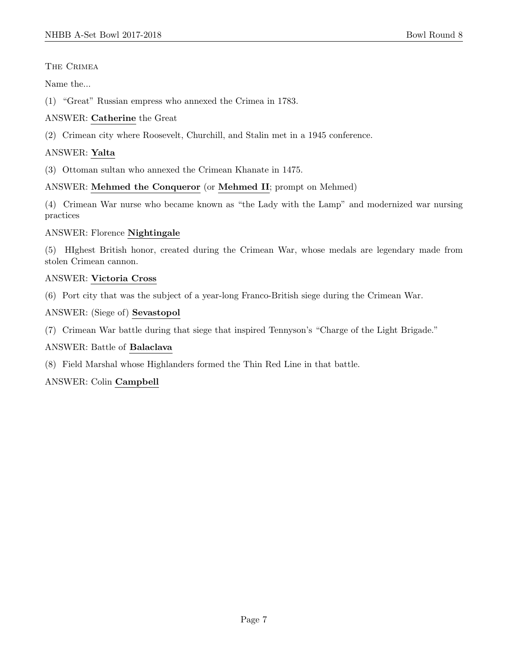#### The Crimea

Name the...

(1) "Great" Russian empress who annexed the Crimea in 1783.

ANSWER: Catherine the Great

(2) Crimean city where Roosevelt, Churchill, and Stalin met in a 1945 conference.

## ANSWER: Yalta

(3) Ottoman sultan who annexed the Crimean Khanate in 1475.

#### ANSWER: Mehmed the Conqueror (or Mehmed II; prompt on Mehmed)

(4) Crimean War nurse who became known as "the Lady with the Lamp" and modernized war nursing practices

#### ANSWER: Florence Nightingale

(5) HIghest British honor, created during the Crimean War, whose medals are legendary made from stolen Crimean cannon.

#### ANSWER: Victoria Cross

(6) Port city that was the subject of a year-long Franco-British siege during the Crimean War.

ANSWER: (Siege of) Sevastopol

(7) Crimean War battle during that siege that inspired Tennyson's "Charge of the Light Brigade."

## ANSWER: Battle of Balaclava

(8) Field Marshal whose Highlanders formed the Thin Red Line in that battle.

## ANSWER: Colin Campbell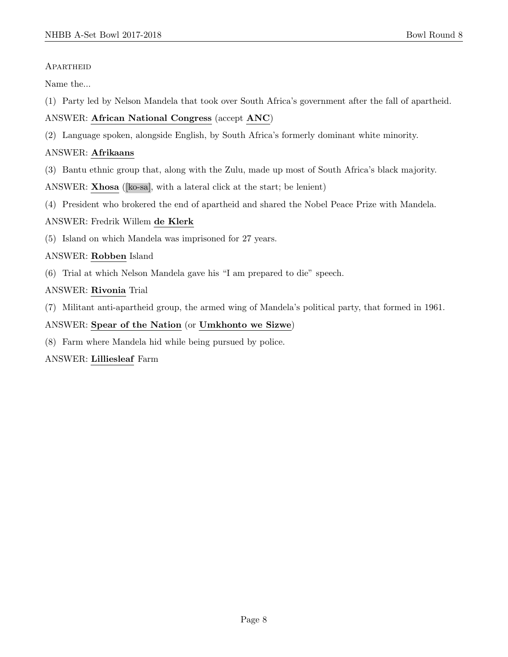#### **APARTHEID**

Name the...

- (1) Party led by Nelson Mandela that took over South Africa's government after the fall of apartheid.
- ANSWER: African National Congress (accept ANC)
- (2) Language spoken, alongside English, by South Africa's formerly dominant white minority.

#### ANSWER: Afrikaans

(3) Bantu ethnic group that, along with the Zulu, made up most of South Africa's black majority.

ANSWER: Xhosa ([ko-sa], with a lateral click at the start; be lenient)

(4) President who brokered the end of apartheid and shared the Nobel Peace Prize with Mandela.

#### ANSWER: Fredrik Willem de Klerk

(5) Island on which Mandela was imprisoned for 27 years.

#### ANSWER: Robben Island

(6) Trial at which Nelson Mandela gave his "I am prepared to die" speech.

#### ANSWER: Rivonia Trial

(7) Militant anti-apartheid group, the armed wing of Mandela's political party, that formed in 1961.

#### ANSWER: Spear of the Nation (or Umkhonto we Sizwe)

(8) Farm where Mandela hid while being pursued by police.

#### ANSWER: Lilliesleaf Farm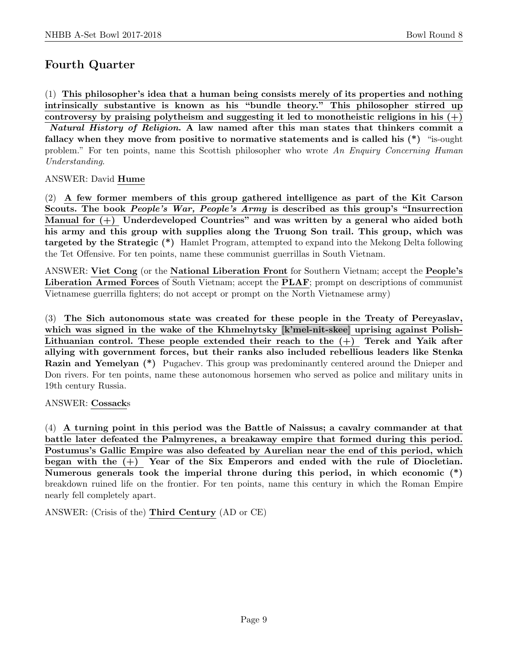# Fourth Quarter

(1) This philosopher's idea that a human being consists merely of its properties and nothing intrinsically substantive is known as his "bundle theory." This philosopher stirred up controversy by praising polytheism and suggesting it led to monotheistic religions in his  $(+)$ Natural History of Religion. A law named after this man states that thinkers commit a fallacy when they move from positive to normative statements and is called his (\*) "is-ought problem." For ten points, name this Scottish philosopher who wrote An Enquiry Concerning Human Understanding.

#### ANSWER: David Hume

(2) A few former members of this group gathered intelligence as part of the Kit Carson Scouts. The book *People's War, People's Army* is described as this group's "Insurrection" Manual for  $(+)$  Underdeveloped Countries" and was written by a general who aided both his army and this group with supplies along the Truong Son trail. This group, which was targeted by the Strategic (\*) Hamlet Program, attempted to expand into the Mekong Delta following the Tet Offensive. For ten points, name these communist guerrillas in South Vietnam.

ANSWER: Viet Cong (or the National Liberation Front for Southern Vietnam; accept the People's Liberation Armed Forces of South Vietnam; accept the PLAF; prompt on descriptions of communist Vietnamese guerrilla fighters; do not accept or prompt on the North Vietnamese army)

(3) The Sich autonomous state was created for these people in the Treaty of Pereyaslav, which was signed in the wake of the Khmelnytsky [k'mel-nit-skee] uprising against Polish-Lithuanian control. These people extended their reach to the  $(+)$  Terek and Yaik after allying with government forces, but their ranks also included rebellious leaders like Stenka Razin and Yemelyan (\*) Pugachev. This group was predominantly centered around the Dnieper and Don rivers. For ten points, name these autonomous horsemen who served as police and military units in 19th century Russia.

#### ANSWER: Cossacks

(4) A turning point in this period was the Battle of Naissus; a cavalry commander at that battle later defeated the Palmyrenes, a breakaway empire that formed during this period. Postumus's Gallic Empire was also defeated by Aurelian near the end of this period, which began with the (+) Year of the Six Emperors and ended with the rule of Diocletian. Numerous generals took the imperial throne during this period, in which economic (\*) breakdown ruined life on the frontier. For ten points, name this century in which the Roman Empire nearly fell completely apart.

ANSWER: (Crisis of the) Third Century (AD or CE)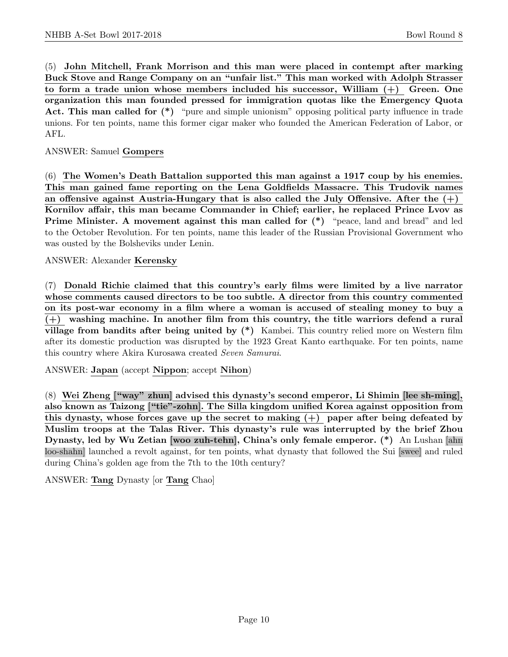(5) John Mitchell, Frank Morrison and this man were placed in contempt after marking Buck Stove and Range Company on an "unfair list." This man worked with Adolph Strasser to form a trade union whose members included his successor, William (+) Green. One organization this man founded pressed for immigration quotas like the Emergency Quota Act. This man called for  $(*)$  "pure and simple unionism" opposing political party influence in trade unions. For ten points, name this former cigar maker who founded the American Federation of Labor, or AFL.

#### ANSWER: Samuel Gompers

(6) The Women's Death Battalion supported this man against a 1917 coup by his enemies. This man gained fame reporting on the Lena Goldfields Massacre. This Trudovik names an offensive against Austria-Hungary that is also called the July Offensive. After the  $(+)$ Kornilov affair, this man became Commander in Chief; earlier, he replaced Prince Lvov as Prime Minister. A movement against this man called for (\*) "peace, land and bread" and led to the October Revolution. For ten points, name this leader of the Russian Provisional Government who was ousted by the Bolsheviks under Lenin.

#### ANSWER: Alexander Kerensky

(7) Donald Richie claimed that this country's early films were limited by a live narrator whose comments caused directors to be too subtle. A director from this country commented on its post-war economy in a film where a woman is accused of stealing money to buy a (+) washing machine. In another film from this country, the title warriors defend a rural village from bandits after being united by (\*) Kambei. This country relied more on Western film after its domestic production was disrupted by the 1923 Great Kanto earthquake. For ten points, name this country where Akira Kurosawa created Seven Samurai.

ANSWER: Japan (accept Nippon; accept Nihon)

(8) Wei Zheng ["way" zhun] advised this dynasty's second emperor, Li Shimin [lee sh-ming], also known as Taizong ["tie"-zohn]. The Silla kingdom unified Korea against opposition from this dynasty, whose forces gave up the secret to making  $(+)$  paper after being defeated by Muslim troops at the Talas River. This dynasty's rule was interrupted by the brief Zhou Dynasty, led by Wu Zetian [woo zuh-tehn], China's only female emperor. (\*) An Lushan [ahn loo-shahn] launched a revolt against, for ten points, what dynasty that followed the Sui [swee] and ruled during China's golden age from the 7th to the 10th century?

ANSWER: Tang Dynasty [or Tang Chao]